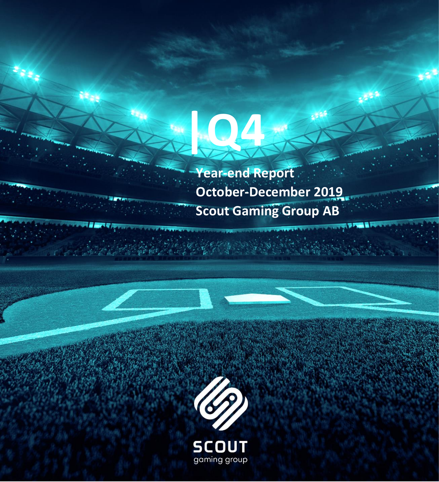

**|Q4**

 $\mathbf{v}_0$ 



gaming group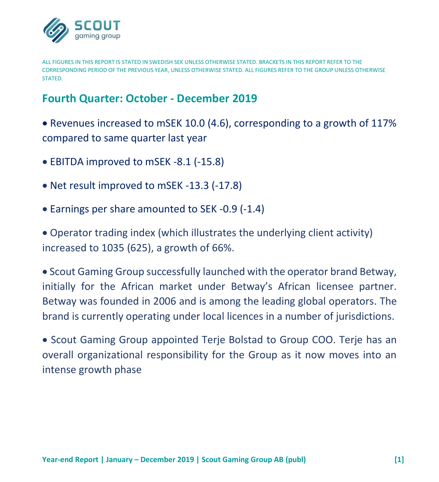

ALL FIGURES IN THIS REPORT IS STATED IN SWEDISH SEK UNLESS OTHERWISE STATED. BRACKETS IN THIS REPORT REFER TO THE CORRESPONDING PERIOD OF THE PREVIOUS YEAR, UNLESS OTHERWISE STATED. ALL FIGURES REFER TO THE GROUP UNLESS OTHERWISE **STATED.** 

# **Fourth Quarter: October - December 2019**

• Revenues increased to mSEK 10.0 (4.6), corresponding to a growth of 117% compared to same quarter last year

- EBITDA improved to mSEK -8.1 (-15.8)
- Net result improved to mSEK -13.3 (-17.8)
- Earnings per share amounted to SEK -0.9 (-1.4)

• Operator trading index (which illustrates the underlying client activity) increased to 1035 (625), a growth of 66%.

• Scout Gaming Group successfully launched with the operator brand Betway, initially for the African market under Betway's African licensee partner. Betway was founded in 2006 and is among the leading global operators. The brand is currently operating under local licences in a number of jurisdictions.

• Scout Gaming Group appointed Terje Bolstad to Group COO. Terje has an overall organizational responsibility for the Group as it now moves into an intense growth phase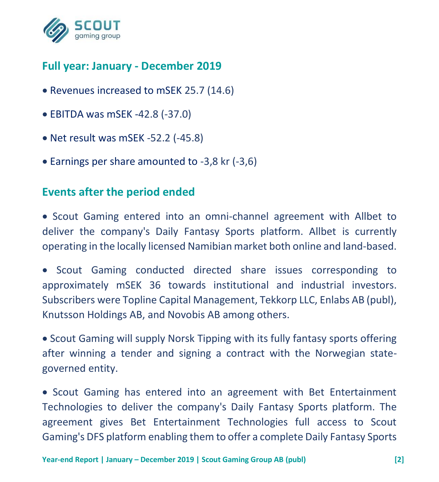

# **Full year: January - December 2019**

- Revenues increased to mSEK 25.7 (14.6)
- EBITDA was mSEK -42.8 (-37.0)
- Net result was mSEK -52.2 (-45.8)
- Earnings per share amounted to -3,8 kr (-3,6)

# **Events after the period ended**

• Scout Gaming entered into an omni-channel agreement with Allbet to deliver the company's Daily Fantasy Sports platform. Allbet is currently operating in the locally licensed Namibian market both online and land-based.

• Scout Gaming conducted directed share issues corresponding to approximately mSEK 36 towards institutional and industrial investors. Subscribers were Topline Capital Management, Tekkorp LLC, Enlabs AB (publ), Knutsson Holdings AB, and Novobis AB among others.

• Scout Gaming will supply Norsk Tipping with its fully fantasy sports offering after winning a tender and signing a contract with the Norwegian stategoverned entity.

• Scout Gaming has entered into an agreement with Bet Entertainment Technologies to deliver the company's Daily Fantasy Sports platform. The agreement gives Bet Entertainment Technologies full access to Scout Gaming's DFS platform enabling them to offer a complete Daily Fantasy Sports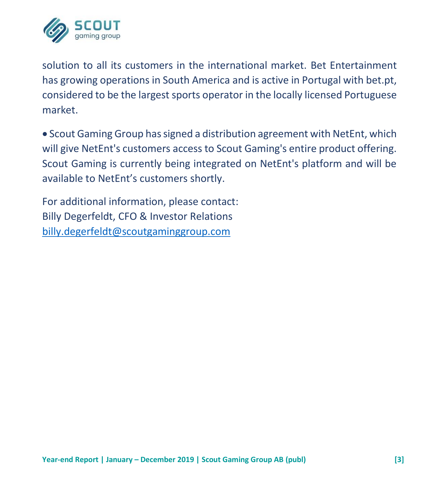

solution to all its customers in the international market. Bet Entertainment has growing operations in South America and is active in Portugal with bet.pt, considered to be the largest sports operator in the locally licensed Portuguese market.

• Scout Gaming Group has signed a distribution agreement with NetEnt, which will give NetEnt's customers access to Scout Gaming's entire product offering. Scout Gaming is currently being integrated on NetEnt's platform and will be available to NetEnt's customers shortly.

For additional information, please contact: Billy Degerfeldt, CFO & Investor Relations [billy.degerfeldt@scoutgaminggroup.com](mailto:billy.degerfeldt@scoutgaminggroup.com)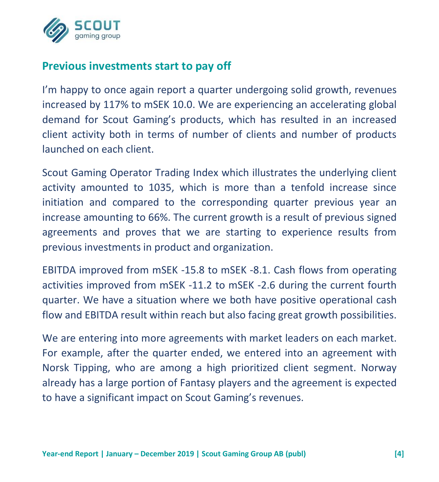

# **Previous investments start to pay off**

I'm happy to once again report a quarter undergoing solid growth, revenues increased by 117% to mSEK 10.0. We are experiencing an accelerating global demand for Scout Gaming's products, which has resulted in an increased client activity both in terms of number of clients and number of products launched on each client.

Scout Gaming Operator Trading Index which illustrates the underlying client activity amounted to 1035, which is more than a tenfold increase since initiation and compared to the corresponding quarter previous year an increase amounting to 66%. The current growth is a result of previous signed agreements and proves that we are starting to experience results from previous investments in product and organization.

EBITDA improved from mSEK -15.8 to mSEK -8.1. Cash flows from operating activities improved from mSEK -11.2 to mSEK -2.6 during the current fourth quarter. We have a situation where we both have positive operational cash flow and EBITDA result within reach but also facing great growth possibilities.

We are entering into more agreements with market leaders on each market. For example, after the quarter ended, we entered into an agreement with Norsk Tipping, who are among a high prioritized client segment. Norway already has a large portion of Fantasy players and the agreement is expected to have a significant impact on Scout Gaming's revenues.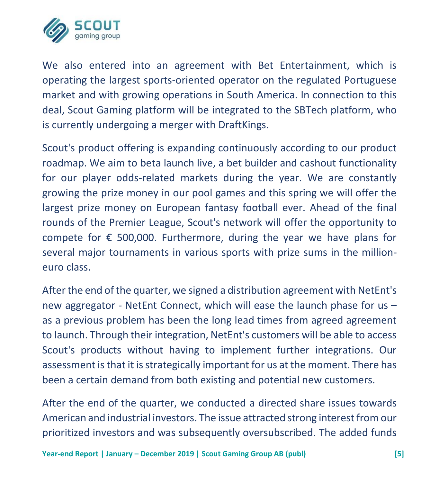

We also entered into an agreement with Bet Entertainment, which is operating the largest sports-oriented operator on the regulated Portuguese market and with growing operations in South America. In connection to this deal, Scout Gaming platform will be integrated to the SBTech platform, who is currently undergoing a merger with DraftKings.

Scout's product offering is expanding continuously according to our product roadmap. We aim to beta launch live, a bet builder and cashout functionality for our player odds-related markets during the year. We are constantly growing the prize money in our pool games and this spring we will offer the largest prize money on European fantasy football ever. Ahead of the final rounds of the Premier League, Scout's network will offer the opportunity to compete for  $\epsilon$  500,000. Furthermore, during the year we have plans for several major tournaments in various sports with prize sums in the millioneuro class.

After the end of the quarter, we signed a distribution agreement with NetEnt's new aggregator - NetEnt Connect, which will ease the launch phase for us – as a previous problem has been the long lead times from agreed agreement to launch. Through their integration, NetEnt's customers will be able to access Scout's products without having to implement further integrations. Our assessment is that it is strategically important for us at the moment. There has been a certain demand from both existing and potential new customers.

After the end of the quarter, we conducted a directed share issues towards American and industrial investors. The issue attracted strong interest from our prioritized investors and was subsequently oversubscribed. The added funds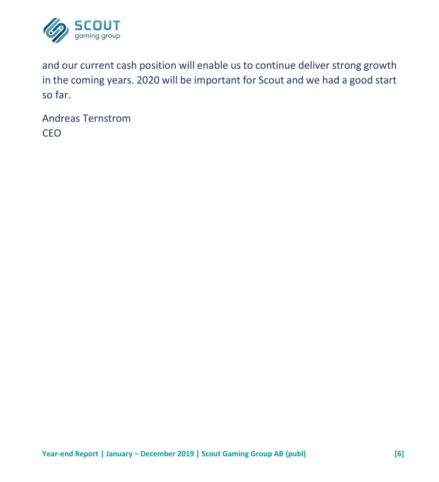

and our current cash position will enable us to continue deliver strong growth in the coming years. 2020 will be important for Scout and we had a good start so far.

Andreas Ternstrom CEO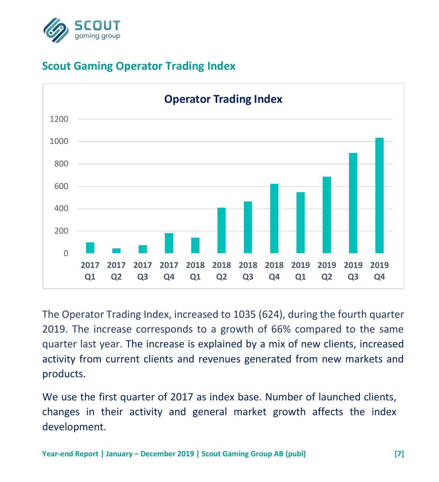

# **Scout Gaming Operator Trading Index**



The Operator Trading Index, increased to 1035 (624), during the fourth quarter 2019. The increase corresponds to a growth of 66% compared to the same quarter last year. The increase is explained by a mix of new clients, increased activity from current clients and revenues generated from new markets and products.

We use the first quarter of 2017 as index base. Number of launched clients, changes in their activity and general market growth affects the index development.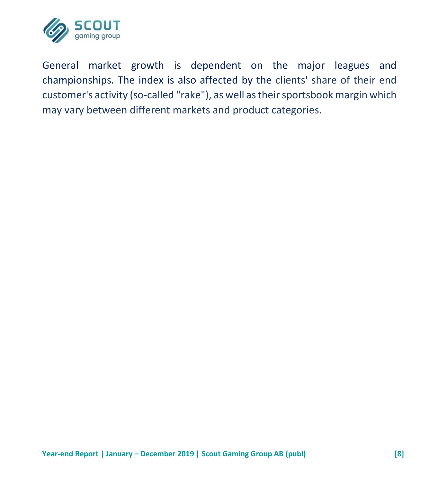

General market growth is dependent on the major leagues and championships. The index is also affected by the clients' share of their end customer's activity (so-called "rake"), as well as their sportsbook margin which may vary between different markets and product categories.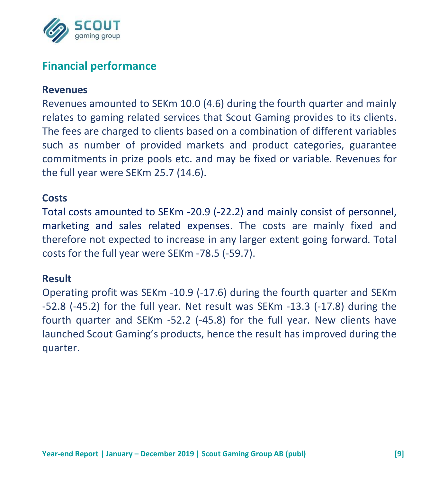

# **Financial performance**

#### **Revenues**

Revenues amounted to SEKm 10.0 (4.6) during the fourth quarter and mainly relates to gaming related services that Scout Gaming provides to its clients. The fees are charged to clients based on a combination of different variables such as number of provided markets and product categories, guarantee commitments in prize pools etc. and may be fixed or variable. Revenues for the full year were SEKm 25.7 (14.6).

#### **Costs**

Total costs amounted to SEKm -20.9 (-22.2) and mainly consist of personnel, marketing and sales related expenses. The costs are mainly fixed and therefore not expected to increase in any larger extent going forward. Total costs for the full year were SEKm -78.5 (-59.7).

#### **Result**

Operating profit was SEKm -10.9 (-17.6) during the fourth quarter and SEKm -52.8 (-45.2) for the full year. Net result was SEKm -13.3 (-17.8) during the fourth quarter and SEKm -52.2 (-45.8) for the full year. New clients have launched Scout Gaming's products, hence the result has improved during the quarter.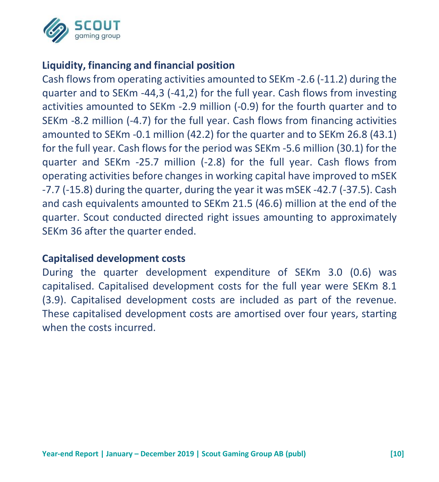

## **Liquidity, financing and financial position**

Cash flows from operating activities amounted to SEKm -2.6 (-11.2) during the quarter and to SEKm -44,3 (-41,2) for the full year. Cash flows from investing activities amounted to SEKm -2.9 million (-0.9) for the fourth quarter and to SEKm -8.2 million (-4.7) for the full year. Cash flows from financing activities amounted to SEKm -0.1 million (42.2) for the quarter and to SEKm 26.8 (43.1) for the full year. Cash flows for the period was SEKm -5.6 million (30.1) for the quarter and SEKm -25.7 million (-2.8) for the full year. Cash flows from operating activities before changes in working capital have improved to mSEK -7.7 (-15.8) during the quarter, during the year it was mSEK -42.7 (-37.5). Cash and cash equivalents amounted to SEKm 21.5 (46.6) million at the end of the quarter. Scout conducted directed right issues amounting to approximately SEKm 36 after the quarter ended.

#### **Capitalised development costs**

During the quarter development expenditure of SEKm 3.0 (0.6) was capitalised. Capitalised development costs for the full year were SEKm 8.1 (3.9). Capitalised development costs are included as part of the revenue. These capitalised development costs are amortised over four years, starting when the costs incurred.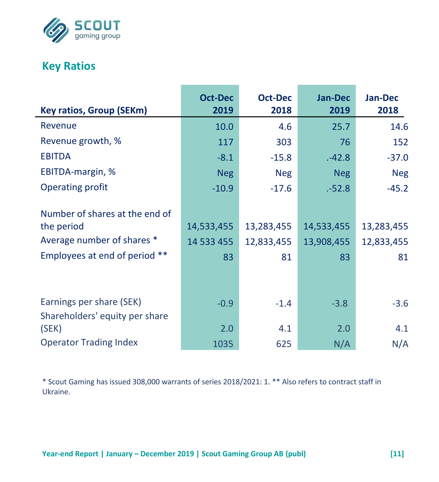

# **Key Ratios**

| <b>Key ratios, Group (SEKm)</b>                                                                             | <b>Oct-Dec</b><br>2019         | <b>Oct-Dec</b><br>2018         | <b>Jan-Dec</b><br>2019         | Jan-Dec<br>2018                |
|-------------------------------------------------------------------------------------------------------------|--------------------------------|--------------------------------|--------------------------------|--------------------------------|
| Revenue                                                                                                     | 10.0                           | 4.6                            | 25.7                           | 14.6                           |
| Revenue growth, %                                                                                           | 117                            | 303                            | 76                             | 152                            |
| <b>EBITDA</b>                                                                                               | $-8.1$                         | $-15.8$                        | $-42.8$                        | $-37.0$                        |
| EBITDA-margin, %                                                                                            | <b>Neg</b>                     | <b>Neg</b>                     | <b>Neg</b>                     | <b>Neg</b>                     |
| Operating profit                                                                                            | $-10.9$                        | $-17.6$                        | $-52.8$                        | $-45.2$                        |
| Number of shares at the end of<br>the period<br>Average number of shares *<br>Employees at end of period ** | 14,533,455<br>14 533 455<br>83 | 13,283,455<br>12,833,455<br>81 | 14,533,455<br>13,908,455<br>83 | 13,283,455<br>12,833,455<br>81 |
| Earnings per share (SEK)<br>Shareholders' equity per share<br>(SEK)                                         | $-0.9$<br>2.0                  | $-1.4$<br>4.1                  | $-3.8$<br>2.0                  | $-3.6$<br>4.1                  |
| <b>Operator Trading Index</b>                                                                               | 1035                           | 625                            | N/A                            | N/A                            |

\* Scout Gaming has issued 308,000 warrants of series 2018/2021: 1. \*\* Also refers to contract staff in Ukraine.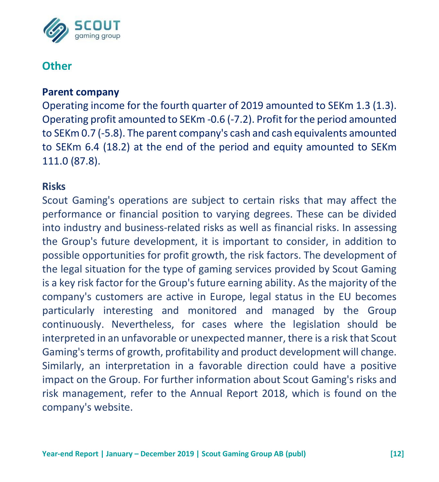

## **Other**

#### **Parent company**

Operating income for the fourth quarter of 2019 amounted to SEKm 1.3 (1.3). Operating profit amounted to SEKm -0.6 (-7.2). Profit for the period amounted to SEKm 0.7 (-5.8). The parent company's cash and cash equivalents amounted to SEKm 6.4 (18.2) at the end of the period and equity amounted to SEKm 111.0 (87.8).

#### **Risks**

Scout Gaming's operations are subject to certain risks that may affect the performance or financial position to varying degrees. These can be divided into industry and business-related risks as well as financial risks. In assessing the Group's future development, it is important to consider, in addition to possible opportunities for profit growth, the risk factors. The development of the legal situation for the type of gaming services provided by Scout Gaming is a key risk factor for the Group's future earning ability. As the majority of the company's customers are active in Europe, legal status in the EU becomes particularly interesting and monitored and managed by the Group continuously. Nevertheless, for cases where the legislation should be interpreted in an unfavorable or unexpected manner, there is a risk that Scout Gaming's terms of growth, profitability and product development will change. Similarly, an interpretation in a favorable direction could have a positive impact on the Group. For further information about Scout Gaming's risks and risk management, refer to the Annual Report 2018, which is found on the company's website.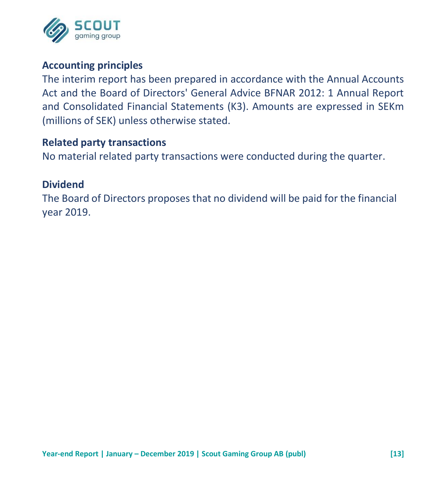

#### **Accounting principles**

The interim report has been prepared in accordance with the Annual Accounts Act and the Board of Directors' General Advice BFNAR 2012: 1 Annual Report and Consolidated Financial Statements (K3). Amounts are expressed in SEKm (millions of SEK) unless otherwise stated.

#### **Related party transactions**

No material related party transactions were conducted during the quarter.

#### **Dividend**

The Board of Directors proposes that no dividend will be paid for the financial year 2019.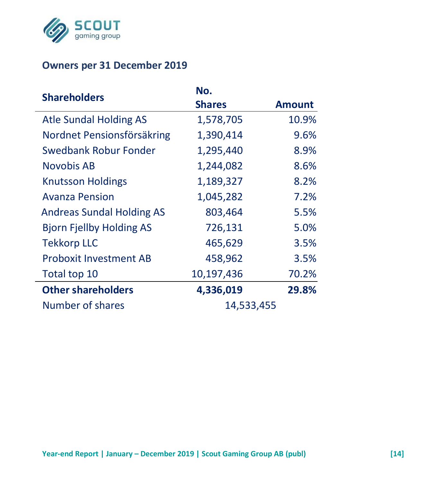

## **Owners per 31 December 2019**

| <b>Shareholders</b>              | No.           |               |  |  |
|----------------------------------|---------------|---------------|--|--|
|                                  | <b>Shares</b> | <b>Amount</b> |  |  |
| Atle Sundal Holding AS           | 1,578,705     | 10.9%         |  |  |
| Nordnet Pensionsförsäkring       | 1,390,414     | 9.6%          |  |  |
| Swedbank Robur Fonder            | 1,295,440     | 8.9%          |  |  |
| Novobis AB                       | 1,244,082     | 8.6%          |  |  |
| <b>Knutsson Holdings</b>         | 1,189,327     | 8.2%          |  |  |
| <b>Avanza Pension</b>            | 1,045,282     | 7.2%          |  |  |
| <b>Andreas Sundal Holding AS</b> | 803,464       | 5.5%          |  |  |
| <b>Bjorn Fjellby Holding AS</b>  | 726,131       | 5.0%          |  |  |
| <b>Tekkorp LLC</b>               | 465,629       | 3.5%          |  |  |
| <b>Proboxit Investment AB</b>    | 458,962       | 3.5%          |  |  |
| Total top 10                     | 10,197,436    | 70.2%         |  |  |
| <b>Other shareholders</b>        | 4,336,019     | 29.8%         |  |  |
| Number of shares                 | 14,533,455    |               |  |  |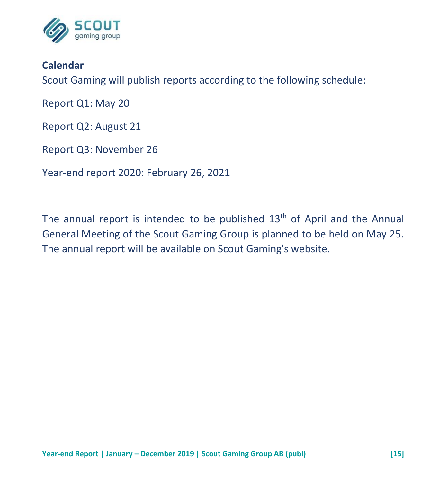

#### **Calendar**

Scout Gaming will publish reports according to the following schedule:

Report Q1: May 20

Report Q2: August 21

Report Q3: November 26

Year-end report 2020: February 26, 2021

The annual report is intended to be published  $13<sup>th</sup>$  of April and the Annual General Meeting of the Scout Gaming Group is planned to be held on May 25. The annual report will be available on Scout Gaming's website.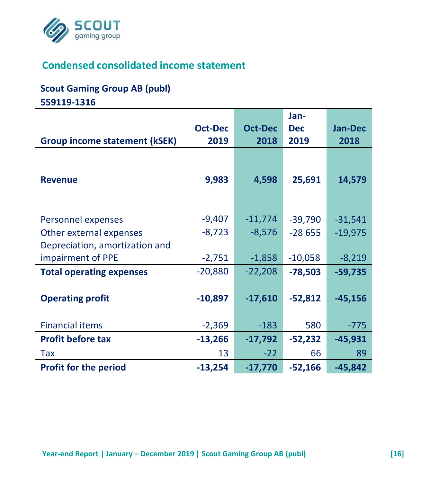

# **Condensed consolidated income statement**

#### **Scout Gaming Group AB (publ)**

**559119-1316**

|                                      |                |                | Jan-       |                |
|--------------------------------------|----------------|----------------|------------|----------------|
|                                      | <b>Oct-Dec</b> | <b>Oct-Dec</b> | <b>Dec</b> | <b>Jan-Dec</b> |
| <b>Group income statement (kSEK)</b> | 2019           | 2018           | 2019       | 2018           |
|                                      |                |                |            |                |
|                                      |                |                |            |                |
| <b>Revenue</b>                       | 9,983          | 4,598          | 25,691     | 14,579         |
|                                      |                |                |            |                |
|                                      |                |                |            |                |
| Personnel expenses                   | $-9,407$       | $-11,774$      | $-39,790$  | $-31,541$      |
| Other external expenses              | $-8,723$       | $-8,576$       | $-28655$   | $-19,975$      |
| Depreciation, amortization and       |                |                |            |                |
| impairment of PPE                    | $-2,751$       | $-1,858$       | $-10,058$  | $-8,219$       |
| <b>Total operating expenses</b>      | $-20,880$      | $-22,208$      | $-78,503$  | $-59,735$      |
|                                      |                |                |            |                |
| <b>Operating profit</b>              | $-10,897$      | $-17,610$      | $-52,812$  | $-45,156$      |
|                                      |                |                |            |                |
| <b>Financial items</b>               | $-2,369$       | $-183$         | 580        | $-775$         |
| <b>Profit before tax</b>             | $-13,266$      | $-17,792$      | $-52,232$  | $-45,931$      |
| Tax                                  | 13             | $-22$          | 66         | 89             |
| <b>Profit for the period</b>         | $-13,254$      | $-17,770$      | $-52,166$  | $-45,842$      |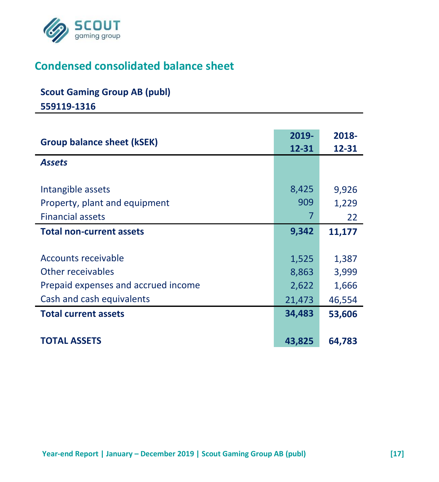

# **Condensed consolidated balance sheet**

# **Scout Gaming Group AB (publ)**

**559119-1316**

| <b>Group balance sheet (kSEK)</b>   | 2019-<br>$12 - 31$ | 2018-<br>12-31 |
|-------------------------------------|--------------------|----------------|
| <b>Assets</b>                       |                    |                |
| Intangible assets                   | 8,425              | 9,926          |
| Property, plant and equipment       | 909                | 1,229          |
| <b>Financial assets</b>             |                    | 22             |
| <b>Total non-current assets</b>     | 9,342              | 11,177         |
|                                     |                    |                |
| Accounts receivable                 | 1,525              | 1,387          |
| Other receivables                   | 8,863              | 3,999          |
| Prepaid expenses and accrued income | 2,622              | 1,666          |
| Cash and cash equivalents           | 21,473             | 46,554         |
| <b>Total current assets</b>         | 34,483             | 53,606         |
|                                     |                    |                |
| <b>TOTAL ASSETS</b>                 | 43,825             | 64,783         |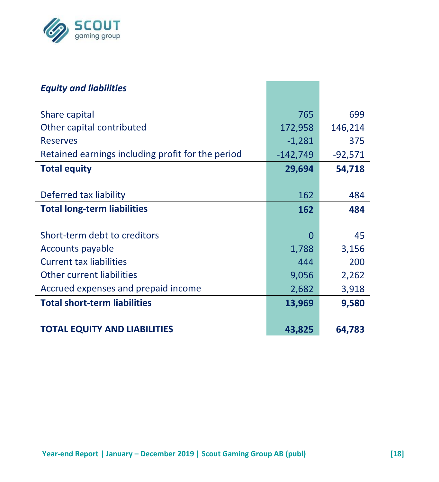

| <b>Equity and liabilities</b>                     |            |           |
|---------------------------------------------------|------------|-----------|
| Share capital                                     | 765        | 699       |
| Other capital contributed                         | 172,958    | 146,214   |
| <b>Reserves</b>                                   | $-1,281$   | 375       |
| Retained earnings including profit for the period | $-142,749$ | $-92,571$ |
| <b>Total equity</b>                               | 29,694     | 54,718    |
|                                                   |            |           |
| Deferred tax liability                            | 162        | 484       |
| <b>Total long-term liabilities</b>                | 162        | 484       |
|                                                   |            |           |
| Short-term debt to creditors                      | 0          | 45        |
| Accounts payable                                  | 1,788      | 3,156     |
| <b>Current tax liabilities</b>                    | 444        | 200       |
| Other current liabilities                         | 9,056      | 2,262     |
| Accrued expenses and prepaid income               | 2,682      | 3,918     |
| <b>Total short-term liabilities</b>               | 13,969     | 9,580     |
|                                                   |            |           |
| <b>TOTAL EQUITY AND LIABILITIES</b>               | 43,825     | 64,783    |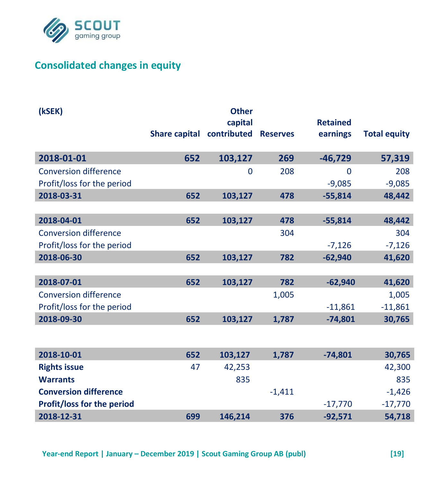

## **Consolidated changes in equity**

| (kSEK)                       |                                    | <b>Other</b> |          |                 |                     |
|------------------------------|------------------------------------|--------------|----------|-----------------|---------------------|
|                              |                                    | capital      |          | <b>Retained</b> |                     |
|                              | Share capital contributed Reserves |              |          | earnings        | <b>Total equity</b> |
| 2018-01-01                   | 652                                | 103,127      | 269      | $-46,729$       | 57,319              |
| <b>Conversion difference</b> |                                    | 0            | 208      | 0               | 208                 |
| Profit/loss for the period   |                                    |              |          | $-9,085$        | $-9,085$            |
| 2018-03-31                   | 652                                | 103,127      | 478      | $-55,814$       | 48,442              |
|                              |                                    |              |          |                 |                     |
| 2018-04-01                   | 652                                | 103,127      | 478      | $-55,814$       | 48,442              |
| <b>Conversion difference</b> |                                    |              | 304      |                 | 304                 |
| Profit/loss for the period   |                                    |              |          | $-7,126$        | $-7,126$            |
| 2018-06-30                   | 652                                | 103,127      | 782      | $-62,940$       | 41,620              |
|                              |                                    |              |          |                 |                     |
| 2018-07-01                   | 652                                | 103,127      | 782      | $-62,940$       | 41,620              |
| <b>Conversion difference</b> |                                    |              | 1,005    |                 | 1,005               |
| Profit/loss for the period   |                                    |              |          | $-11,861$       | $-11,861$           |
| 2018-09-30                   | 652                                | 103,127      | 1,787    | $-74,801$       | 30,765              |
|                              |                                    |              |          |                 |                     |
| 2018-10-01                   | 652                                | 103,127      | 1.787    | $-74.801$       | 30,765              |
| <b>Rights issue</b>          | 47                                 | 42,253       |          |                 | 42,300              |
| <b>Warrants</b>              |                                    | 835          |          |                 | 835                 |
| <b>Conversion difference</b> |                                    |              | $-1.411$ |                 | $-1,426$            |
| Profit/loss for the period   |                                    |              |          | $-17,770$       | $-17,770$           |
| 2018-12-31                   | 699                                | 146,214      | 376      | $-92,571$       | 54,718              |
|                              |                                    |              |          |                 |                     |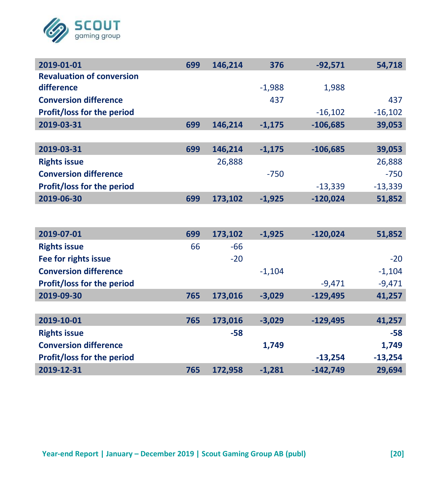

| 2019-01-01                        | 699 | 146,214 | 376      | $-92,571$  | 54,718    |
|-----------------------------------|-----|---------|----------|------------|-----------|
| <b>Revaluation of conversion</b>  |     |         |          |            |           |
| difference                        |     |         | $-1,988$ | 1,988      |           |
| <b>Conversion difference</b>      |     |         | 437      |            | 437       |
| Profit/loss for the period        |     |         |          | $-16,102$  | $-16,102$ |
| 2019-03-31                        | 699 | 146,214 | $-1,175$ | $-106,685$ | 39,053    |
|                                   |     |         |          |            |           |
| 2019-03-31                        | 699 | 146,214 | $-1,175$ | $-106,685$ | 39,053    |
| <b>Rights issue</b>               |     | 26,888  |          |            | 26,888    |
| <b>Conversion difference</b>      |     |         | $-750$   |            | $-750$    |
| Profit/loss for the period        |     |         |          | $-13,339$  | $-13,339$ |
| 2019-06-30                        | 699 | 173,102 | $-1,925$ | $-120,024$ | 51,852    |
|                                   |     |         |          |            |           |
|                                   |     |         |          |            |           |
| 2019-07-01                        | 699 | 173,102 | $-1,925$ | $-120,024$ | 51,852    |
| <b>Rights issue</b>               | 66  | $-66$   |          |            |           |
| Fee for rights issue              |     | $-20$   |          |            | $-20$     |
| <b>Conversion difference</b>      |     |         | $-1,104$ |            | $-1,104$  |
| <b>Profit/loss for the period</b> |     |         |          | $-9,471$   | $-9,471$  |
| 2019-09-30                        | 765 | 173,016 | $-3,029$ | $-129.495$ | 41,257    |
|                                   |     |         |          |            |           |
| 2019-10-01                        | 765 | 173,016 | $-3,029$ | $-129,495$ | 41,257    |
| <b>Rights issue</b>               |     | $-58$   |          |            | -58       |
| <b>Conversion difference</b>      |     |         | 1,749    |            | 1,749     |
| <b>Profit/loss for the period</b> |     |         |          | $-13,254$  | $-13,254$ |
| 2019-12-31                        | 765 | 172,958 | $-1,281$ | $-142,749$ | 29,694    |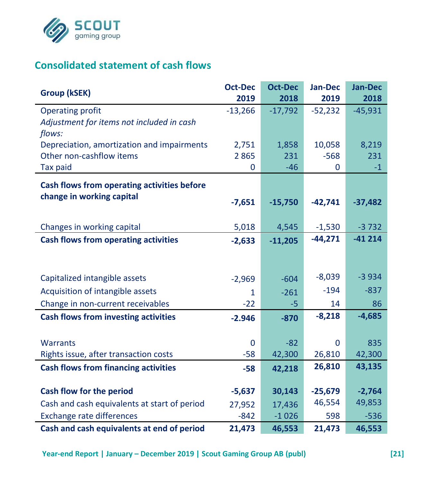

# **Consolidated statement of cash flows**

| Group (kSEK)                                 | <b>Oct-Dec</b> | <b>Oct-Dec</b> | Jan-Dec   | Jan-Dec   |
|----------------------------------------------|----------------|----------------|-----------|-----------|
|                                              | 2019           | 2018           | 2019      | 2018      |
| Operating profit                             | $-13,266$      | $-17,792$      | $-52,232$ | $-45,931$ |
| Adjustment for items not included in cash    |                |                |           |           |
| flows:                                       |                |                |           |           |
| Depreciation, amortization and impairments   | 2,751          | 1,858          | 10,058    | 8,219     |
| Other non-cashflow items                     | 2865           | 231            | $-568$    | 231       |
| Tax paid                                     | $\mathbf 0$    | $-46$          | 0         | $-1$      |
| Cash flows from operating activities before  |                |                |           |           |
| change in working capital                    | $-7,651$       | $-15,750$      | $-42,741$ | $-37,482$ |
|                                              |                |                |           |           |
| Changes in working capital                   | 5,018          | 4,545          | $-1,530$  | $-3732$   |
| <b>Cash flows from operating activities</b>  |                |                | $-44,271$ | $-41214$  |
|                                              | $-2,633$       | $-11,205$      |           |           |
|                                              |                |                |           |           |
| Capitalized intangible assets                | $-2,969$       | $-604$         | $-8,039$  | $-3934$   |
| Acquisition of intangible assets             | 1              | $-261$         | $-194$    | $-837$    |
| Change in non-current receivables            | $-22$          | $-5$           | 14        | 86        |
| <b>Cash flows from investing activities</b>  | $-2.946$       | $-870$         | $-8,218$  | $-4,685$  |
|                                              |                |                |           |           |
| <b>Warrants</b>                              | 0              | $-82$          | $\Omega$  | 835       |
| Rights issue, after transaction costs        | $-58$          | 42,300         | 26,810    | 42,300    |
| <b>Cash flows from financing activities</b>  | $-58$          | 42,218         | 26,810    | 43,135    |
|                                              |                |                |           |           |
| Cash flow for the period                     | $-5,637$       | 30,143         | $-25,679$ | $-2,764$  |
| Cash and cash equivalents at start of period | 27,952         | 17,436         | 46,554    | 49,853    |
| <b>Exchange rate differences</b>             | $-842$         | $-1026$        | 598       | $-536$    |
| Cash and cash equivalents at end of period   | 21,473         | 46,553         | 21,473    | 46,553    |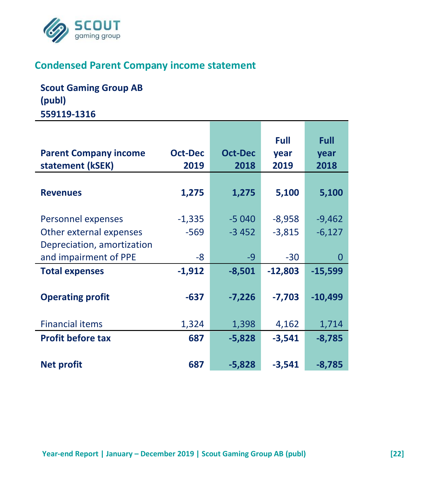

## **Condensed Parent Company income statement**

**Scout Gaming Group AB (publ) 559119-1316**

|                              |                |                | <b>Full</b> | Full      |
|------------------------------|----------------|----------------|-------------|-----------|
| <b>Parent Company income</b> | <b>Oct-Dec</b> | <b>Oct-Dec</b> | year        | year      |
| statement (kSEK)             | 2019           | 2018           | 2019        | 2018      |
|                              |                |                |             |           |
| <b>Revenues</b>              | 1,275          | 1,275          | 5,100       | 5,100     |
|                              |                |                |             |           |
| Personnel expenses           | $-1,335$       | $-5040$        | $-8,958$    | $-9,462$  |
| Other external expenses      | $-569$         | $-3452$        | $-3,815$    | $-6,127$  |
| Depreciation, amortization   |                |                |             |           |
| and impairment of PPE        | -8             | -9             | $-30$       | 0         |
| <b>Total expenses</b>        | $-1,912$       | $-8,501$       | $-12,803$   | $-15,599$ |
|                              |                |                |             |           |
| <b>Operating profit</b>      | $-637$         | $-7,226$       | $-7,703$    | $-10,499$ |
|                              |                |                |             |           |
| <b>Financial items</b>       | 1,324          | 1,398          | 4,162       | 1,714     |
| <b>Profit before tax</b>     | 687            | $-5,828$       | $-3,541$    | $-8,785$  |
|                              |                |                |             |           |
| <b>Net profit</b>            | 687            | $-5,828$       | $-3,541$    | $-8,785$  |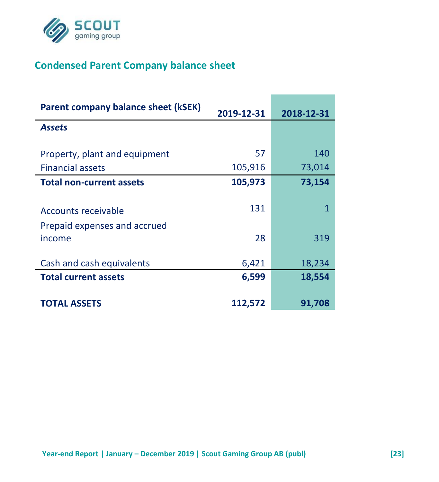

# **Condensed Parent Company balance sheet**

| Parent company balance sheet (kSEK)    | 2019-12-31 | 2018-12-31 |
|----------------------------------------|------------|------------|
| <b>Assets</b>                          |            |            |
| Property, plant and equipment          | 57         | 140        |
| <b>Financial assets</b>                | 105,916    | 73,014     |
| <b>Total non-current assets</b>        | 105,973    | 73,154     |
| Accounts receivable                    | 131        | 1          |
| Prepaid expenses and accrued<br>income | 28         | 319        |
| Cash and cash equivalents              | 6,421      | 18,234     |
| <b>Total current assets</b>            | 6,599      | 18,554     |
| <b>TOTAL ASSETS</b>                    | 112,572    | 91,708     |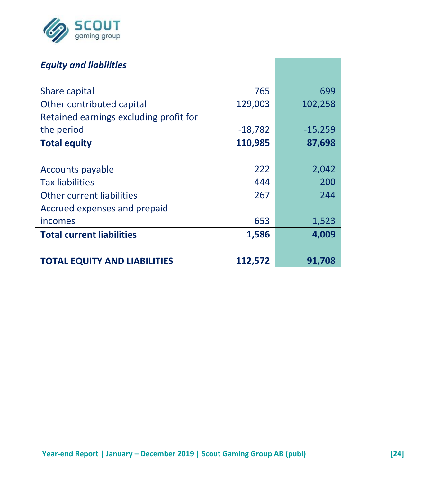

## *Equity and liabilities*

| Share capital                          | 765       | 699       |
|----------------------------------------|-----------|-----------|
| Other contributed capital              | 129,003   | 102,258   |
| Retained earnings excluding profit for |           |           |
| the period                             | $-18,782$ | $-15,259$ |
| <b>Total equity</b>                    | 110,985   | 87,698    |
|                                        |           |           |
| Accounts payable                       | 222       | 2,042     |
| <b>Tax liabilities</b>                 | 444       | 200       |
| Other current liabilities              | 267       | 244       |
| Accrued expenses and prepaid           |           |           |
| incomes                                | 653       | 1,523     |
| <b>Total current liabilities</b>       | 1,586     | 4,009     |
|                                        |           |           |
| TOTAL EQUITY AND LIABILITIES           | 112,572   | 91,708    |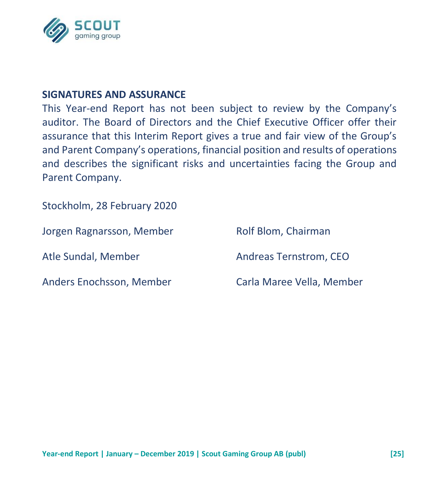

#### **SIGNATURES AND ASSURANCE**

This Year-end Report has not been subject to review by the Company's auditor. The Board of Directors and the Chief Executive Officer offer their assurance that this Interim Report gives a true and fair view of the Group's and Parent Company's operations, financial position and results of operations and describes the significant risks and uncertainties facing the Group and Parent Company.

Stockholm, 28 February 2020

| Jorgen Ragnarsson, Member | Rolf Blom, Chairman       |
|---------------------------|---------------------------|
| Atle Sundal, Member       | Andreas Ternstrom, CEO    |
| Anders Enochsson, Member  | Carla Maree Vella, Member |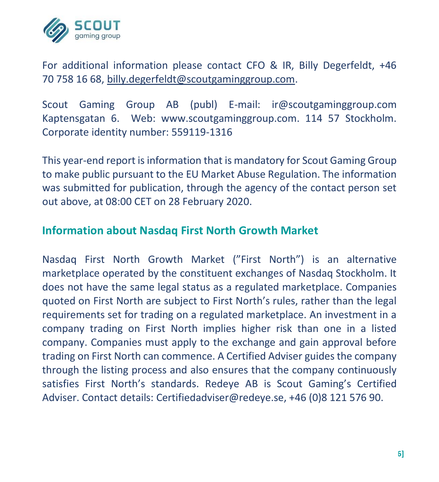

For additional information please contact CFO & IR, Billy Degerfeldt, +46 70 758 16 68, [billy.degerfeldt@scoutgaminggroup.com.](mailto:billy.degerfeldt@scoutgaminggroup.com)

Scout Gaming Group AB (publ) E-mail: ir@scoutgaminggroup.com Kaptensgatan 6. Web: www.scoutgaminggroup.com. 114 57 Stockholm. Corporate identity number: 559119-1316

This year-end report is information that is mandatory for Scout Gaming Group to make public pursuant to the EU Market Abuse Regulation. The information was submitted for publication, through the agency of the contact person set out above, at 08:00 CET on 28 February 2020.

### **Information about Nasdaq First North Growth Market**

Nasdaq First North Growth Market ("First North") is an alternative marketplace operated by the constituent exchanges of Nasdaq Stockholm. It does not have the same legal status as a regulated marketplace. Companies quoted on First North are subject to First North's rules, rather than the legal requirements set for trading on a regulated marketplace. An investment in a company trading on First North implies higher risk than one in a listed company. Companies must apply to the exchange and gain approval before trading on First North can commence. A Certified Adviser guides the company through the listing process and also ensures that the company continuously satisfies First North's standards. Redeye AB is Scout Gaming's Certified Adviser. Contact details: Certifiedadviser@redeye.se, +46 (0)8 121 576 90.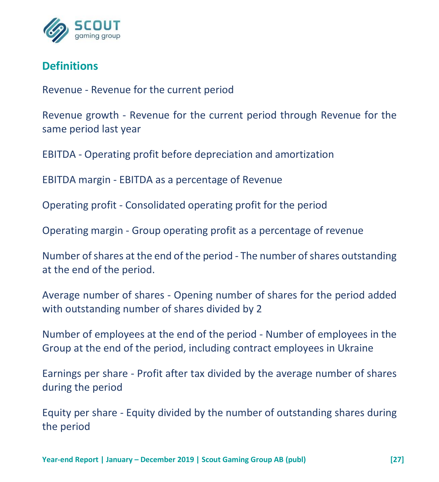

## **Definitions**

Revenue - Revenue for the current period

Revenue growth - Revenue for the current period through Revenue for the same period last year

EBITDA - Operating profit before depreciation and amortization

EBITDA margin - EBITDA as a percentage of Revenue

Operating profit - Consolidated operating profit for the period

Operating margin - Group operating profit as a percentage of revenue

Number of shares at the end of the period - The number of shares outstanding at the end of the period.

Average number of shares - Opening number of shares for the period added with outstanding number of shares divided by 2

Number of employees at the end of the period - Number of employees in the Group at the end of the period, including contract employees in Ukraine

Earnings per share - Profit after tax divided by the average number of shares during the period

Equity per share - Equity divided by the number of outstanding shares during the period